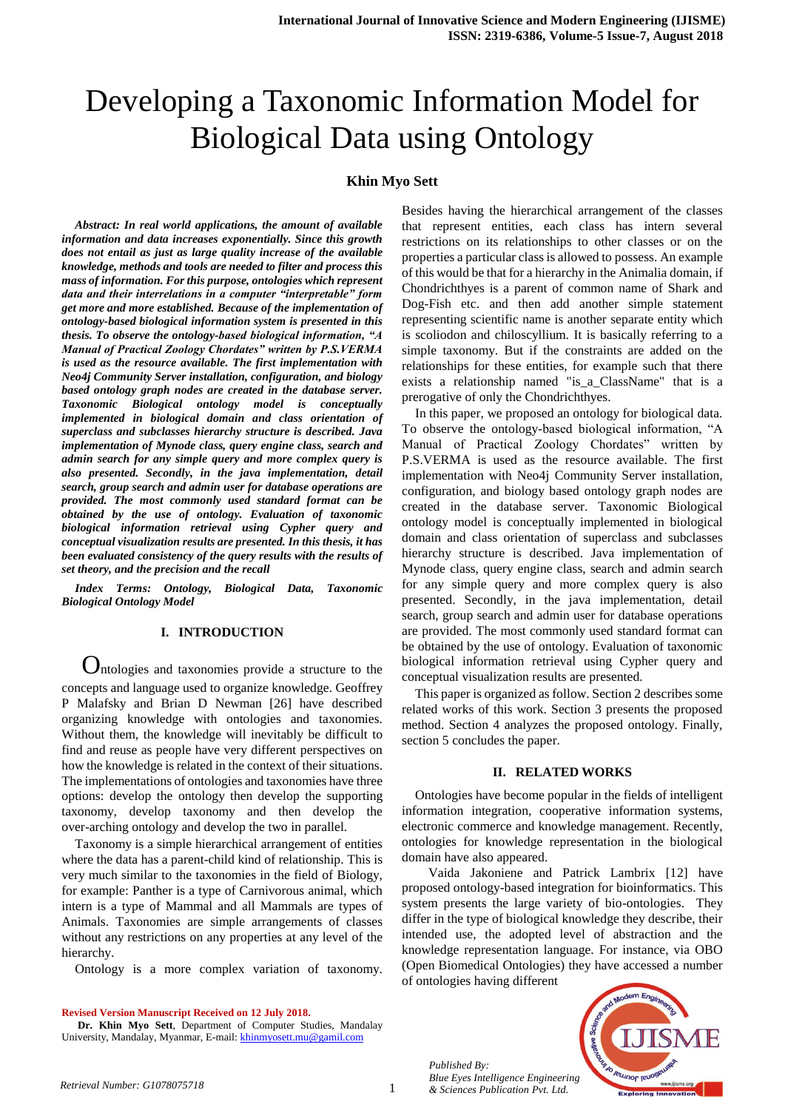# Developing a Taxonomic Information Model for Biological Data using Ontology

# **Khin Myo Sett**

*Abstract: In real world applications, the amount of available information and data increases exponentially. Since this growth does not entail as just as large quality increase of the available knowledge, methods and tools are needed to filter and process this mass of information. For this purpose, ontologies which represent data and their interrelations in a computer "interpretable" form get more and more established. Because of the implementation of ontology-based biological information system is presented in this thesis. To observe the ontology-based biological information, "A Manual of Practical Zoology Chordates" written by P.S.VERMA is used as the resource available. The first implementation with Neo4j Community Server installation, configuration, and biology based ontology graph nodes are created in the database server. Taxonomic Biological ontology model is conceptually implemented in biological domain and class orientation of superclass and subclasses hierarchy structure is described. Java implementation of Mynode class, query engine class, search and admin search for any simple query and more complex query is also presented. Secondly, in the java implementation, detail search, group search and admin user for database operations are provided. The most commonly used standard format can be obtained by the use of ontology. Evaluation of taxonomic biological information retrieval using Cypher query and conceptual visualization results are presented. In this thesis, it has been evaluated consistency of the query results with the results of set theory, and the precision and the recall*

*Index Terms: Ontology, Biological Data, Taxonomic Biological Ontology Model*

## **I. INTRODUCTION**

 Ontologies and taxonomies provide a structure to the concepts and language used to organize knowledge. Geoffrey P Malafsky and Brian D Newman [26] have described organizing knowledge with ontologies and taxonomies. Without them, the knowledge will inevitably be difficult to find and reuse as people have very different perspectives on how the knowledge is related in the context of their situations. The implementations of ontologies and taxonomies have three options: develop the ontology then develop the supporting taxonomy, develop taxonomy and then develop the over-arching ontology and develop the two in parallel.

Taxonomy is a simple hierarchical arrangement of entities where the data has a parent-child kind of relationship. This is very much similar to the taxonomies in the field of Biology, for example: Panther is a type of Carnivorous animal, which intern is a type of Mammal and all Mammals are types of Animals. Taxonomies are simple arrangements of classes without any restrictions on any properties at any level of the hierarchy.

Ontology is a more complex variation of taxonomy.

**Revised Version Manuscript Received on 12 July 2018.**

**Dr. Khin Myo Sett**, Department of Computer Studies, Mandalay University, Mandalay, Myanmar, E-mail[: khinmyosett.mu@gamil.com](mailto:khinmyosett.mu@gamil.com)

Besides having the hierarchical arrangement of the classes that represent entities, each class has intern several restrictions on its relationships to other classes or on the properties a particular class is allowed to possess. An example of this would be that for a hierarchy in the Animalia domain, if Chondrichthyes is a parent of common name of Shark and Dog-Fish etc. and then add another simple statement representing scientific name is another separate entity which is scoliodon and chiloscyllium. It is basically referring to a simple taxonomy. But if the constraints are added on the relationships for these entities, for example such that there exists a relationship named "is\_a\_ClassName" that is a prerogative of only the Chondrichthyes.

In this paper, we proposed an ontology for biological data. To observe the ontology-based biological information, "A Manual of Practical Zoology Chordates" written by P.S.VERMA is used as the resource available. The first implementation with Neo4j Community Server installation, configuration, and biology based ontology graph nodes are created in the database server. Taxonomic Biological ontology model is conceptually implemented in biological domain and class orientation of superclass and subclasses hierarchy structure is described. Java implementation of Mynode class, query engine class, search and admin search for any simple query and more complex query is also presented. Secondly, in the java implementation, detail search, group search and admin user for database operations are provided. The most commonly used standard format can be obtained by the use of ontology. Evaluation of taxonomic biological information retrieval using Cypher query and conceptual visualization results are presented.

This paper is organized as follow. Section 2 describes some related works of this work. Section 3 presents the proposed method. Section 4 analyzes the proposed ontology. Finally, section 5 concludes the paper.

## **II. RELATED WORKS**

Ontologies have become popular in the fields of intelligent information integration, cooperative information systems, electronic commerce and knowledge management. Recently, ontologies for knowledge representation in the biological domain have also appeared.

Vaida Jakoniene and Patrick Lambrix [12] have proposed ontology-based integration for bioinformatics. This system presents the large variety of bio-ontologies. They differ in the type of biological knowledge they describe, their intended use, the adopted level of abstraction and the knowledge representation language. For instance, via OBO (Open Biomedical Ontologies) they have accessed a number of ontologies having different

*Published By: Blue Eyes Intelligence Engineering & Sciences Publication Pvt. Ltd. Retrieval Number: G1078075718*

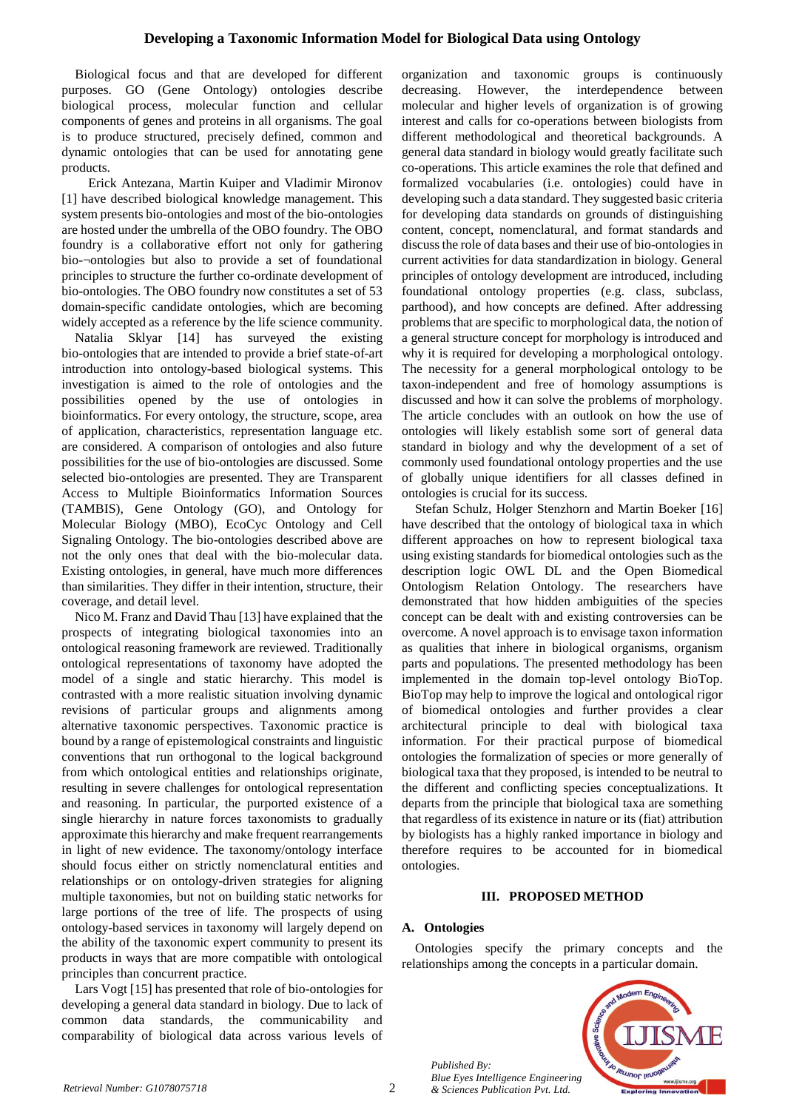Biological focus and that are developed for different purposes. GO (Gene Ontology) ontologies describe biological process, molecular function and cellular components of genes and proteins in all organisms. The goal is to produce structured, precisely defined, common and dynamic ontologies that can be used for annotating gene products.

Erick Antezana, Martin Kuiper and Vladimir Mironov [1] have described biological knowledge management. This system presents bio-ontologies and most of the bio-ontologies are hosted under the umbrella of the OBO foundry. The OBO foundry is a collaborative effort not only for gathering bio-¬ontologies but also to provide a set of foundational principles to structure the further co-ordinate development of bio-ontologies. The OBO foundry now constitutes a set of 53 domain-specific candidate ontologies, which are becoming widely accepted as a reference by the life science community.

Natalia Sklyar [14] has surveyed the existing bio-ontologies that are intended to provide a brief state-of-art introduction into ontology-based biological systems. This investigation is aimed to the role of ontologies and the possibilities opened by the use of ontologies in bioinformatics. For every ontology, the structure, scope, area of application, characteristics, representation language etc. are considered. A comparison of ontologies and also future possibilities for the use of bio-ontologies are discussed. Some selected bio-ontologies are presented. They are Transparent Access to Multiple Bioinformatics Information Sources (TAMBIS), Gene Ontology (GO), and Ontology for Molecular Biology (MBO), EcoCyc Ontology and Cell Signaling Ontology. The bio-ontologies described above are not the only ones that deal with the bio-molecular data. Existing ontologies, in general, have much more differences than similarities. They differ in their intention, structure, their coverage, and detail level.

Nico M. Franz and David Thau [13] have explained that the prospects of integrating biological taxonomies into an ontological reasoning framework are reviewed. Traditionally ontological representations of taxonomy have adopted the model of a single and static hierarchy. This model is contrasted with a more realistic situation involving dynamic revisions of particular groups and alignments among alternative taxonomic perspectives. Taxonomic practice is bound by a range of epistemological constraints and linguistic conventions that run orthogonal to the logical background from which ontological entities and relationships originate, resulting in severe challenges for ontological representation and reasoning. In particular, the purported existence of a single hierarchy in nature forces taxonomists to gradually approximate this hierarchy and make frequent rearrangements in light of new evidence. The taxonomy/ontology interface should focus either on strictly nomenclatural entities and relationships or on ontology-driven strategies for aligning multiple taxonomies, but not on building static networks for large portions of the tree of life. The prospects of using ontology-based services in taxonomy will largely depend on the ability of the taxonomic expert community to present its products in ways that are more compatible with ontological principles than concurrent practice.

Lars Vogt [15] has presented that role of bio-ontologies for developing a general data standard in biology. Due to lack of common data standards, the communicability and comparability of biological data across various levels of organization and taxonomic groups is continuously decreasing. However, the interdependence between molecular and higher levels of organization is of growing interest and calls for co-operations between biologists from different methodological and theoretical backgrounds. A general data standard in biology would greatly facilitate such co-operations. This article examines the role that defined and formalized vocabularies (i.e. ontologies) could have in developing such a data standard. They suggested basic criteria for developing data standards on grounds of distinguishing content, concept, nomenclatural, and format standards and discuss the role of data bases and their use of bio-ontologies in current activities for data standardization in biology. General principles of ontology development are introduced, including foundational ontology properties (e.g. class, subclass, parthood), and how concepts are defined. After addressing problems that are specific to morphological data, the notion of a general structure concept for morphology is introduced and why it is required for developing a morphological ontology. The necessity for a general morphological ontology to be taxon-independent and free of homology assumptions is discussed and how it can solve the problems of morphology. The article concludes with an outlook on how the use of ontologies will likely establish some sort of general data standard in biology and why the development of a set of commonly used foundational ontology properties and the use of globally unique identifiers for all classes defined in ontologies is crucial for its success.

Stefan Schulz, Holger Stenzhorn and Martin Boeker [16] have described that the ontology of biological taxa in which different approaches on how to represent biological taxa using existing standards for biomedical ontologies such as the description logic OWL DL and the Open Biomedical Ontologism Relation Ontology. The researchers have demonstrated that how hidden ambiguities of the species concept can be dealt with and existing controversies can be overcome. A novel approach is to envisage taxon information as qualities that inhere in biological organisms, organism parts and populations. The presented methodology has been implemented in the domain top-level ontology BioTop. BioTop may help to improve the logical and ontological rigor of biomedical ontologies and further provides a clear architectural principle to deal with biological taxa information. For their practical purpose of biomedical ontologies the formalization of species or more generally of biological taxa that they proposed, is intended to be neutral to the different and conflicting species conceptualizations. It departs from the principle that biological taxa are something that regardless of its existence in nature or its (fiat) attribution by biologists has a highly ranked importance in biology and therefore requires to be accounted for in biomedical ontologies.

## **III. PROPOSED METHOD**

# **A. Ontologies**

Ontologies specify the primary concepts and the relationships among the concepts in a particular domain.



*Published By: Blue Eyes Intelligence Engineering Retrieval Number: G1078075718 & Sciences Publication Pvt. Ltd.*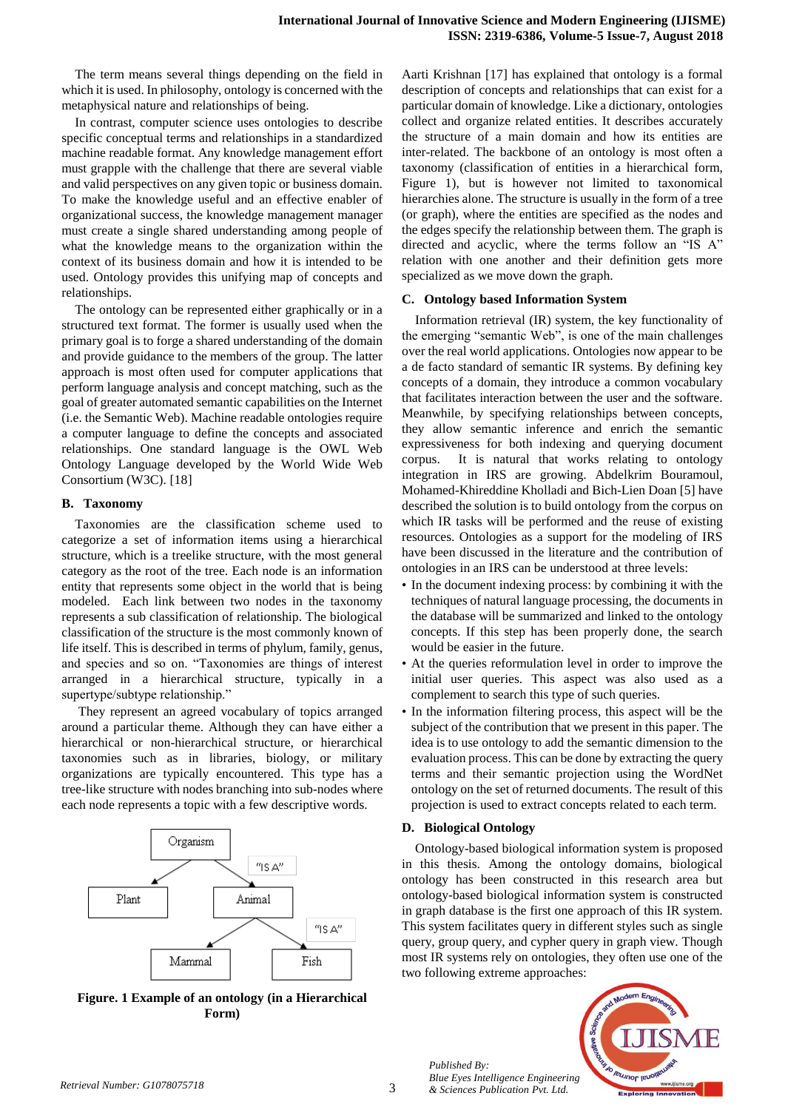The term means several things depending on the field in which it is used. In philosophy, ontology is concerned with the metaphysical nature and relationships of being.

In contrast, computer science uses ontologies to describe specific conceptual terms and relationships in a standardized machine readable format. Any knowledge management effort must grapple with the challenge that there are several viable and valid perspectives on any given topic or business domain. To make the knowledge useful and an effective enabler of organizational success, the knowledge management manager must create a single shared understanding among people of what the knowledge means to the organization within the context of its business domain and how it is intended to be used. Ontology provides this unifying map of concepts and relationships.

The ontology can be represented either graphically or in a structured text format. The former is usually used when the primary goal is to forge a shared understanding of the domain and provide guidance to the members of the group. The latter approach is most often used for computer applications that perform language analysis and concept matching, such as the goal of greater automated semantic capabilities on the Internet (i.e. the Semantic Web). Machine readable ontologies require a computer language to define the concepts and associated relationships. One standard language is the OWL Web Ontology Language developed by the World Wide Web Consortium (W3C). [18]

## **B. Taxonomy**

Taxonomies are the classification scheme used to categorize a set of information items using a hierarchical structure, which is a treelike structure, with the most general category as the root of the tree. Each node is an information entity that represents some object in the world that is being modeled. Each link between two nodes in the taxonomy represents a sub classification of relationship. The biological classification of the structure is the most commonly known of life itself. This is described in terms of phylum, family, genus, and species and so on. "Taxonomies are things of interest arranged in a hierarchical structure, typically in a supertype/subtype relationship."

They represent an agreed vocabulary of topics arranged around a particular theme. Although they can have either a hierarchical or non-hierarchical structure, or hierarchical taxonomies such as in libraries, biology, or military organizations are typically encountered. This type has a tree-like structure with nodes branching into sub-nodes where each node represents a topic with a few descriptive words.



**Figure. 1 Example of an ontology (in a Hierarchical Form)** 

Aarti Krishnan [17] has explained that ontology is a formal description of concepts and relationships that can exist for a particular domain of knowledge. Like a dictionary, ontologies collect and organize related entities. It describes accurately the structure of a main domain and how its entities are inter-related. The backbone of an ontology is most often a taxonomy (classification of entities in a hierarchical form, Figure 1), but is however not limited to taxonomical hierarchies alone. The structure is usually in the form of a tree (or graph), where the entities are specified as the nodes and the edges specify the relationship between them. The graph is directed and acyclic, where the terms follow an "IS A" relation with one another and their definition gets more specialized as we move down the graph.

### **C. Ontology based Information System**

Information retrieval (IR) system, the key functionality of the emerging "semantic Web", is one of the main challenges over the real world applications. Ontologies now appear to be a de facto standard of semantic IR systems. By defining key concepts of a domain, they introduce a common vocabulary that facilitates interaction between the user and the software. Meanwhile, by specifying relationships between concepts, they allow semantic inference and enrich the semantic expressiveness for both indexing and querying document corpus. It is natural that works relating to ontology integration in IRS are growing. Abdelkrim Bouramoul, Mohamed-Khireddine Kholladi and Bich-Lien Doan [5] have described the solution is to build ontology from the corpus on which IR tasks will be performed and the reuse of existing resources. Ontologies as a support for the modeling of IRS have been discussed in the literature and the contribution of ontologies in an IRS can be understood at three levels:

- In the document indexing process: by combining it with the techniques of natural language processing, the documents in the database will be summarized and linked to the ontology concepts. If this step has been properly done, the search would be easier in the future.
- At the queries reformulation level in order to improve the initial user queries. This aspect was also used as a complement to search this type of such queries.
- In the information filtering process, this aspect will be the subject of the contribution that we present in this paper. The idea is to use ontology to add the semantic dimension to the evaluation process. This can be done by extracting the query terms and their semantic projection using the WordNet ontology on the set of returned documents. The result of this projection is used to extract concepts related to each term.

### **D. Biological Ontology**

Ontology-based biological information system is proposed in this thesis. Among the ontology domains, biological ontology has been constructed in this research area but ontology-based biological information system is constructed in graph database is the first one approach of this IR system. This system facilitates query in different styles such as single query, group query, and cypher query in graph view. Though most IR systems rely on ontologies, they often use one of the two following extreme approaches:



3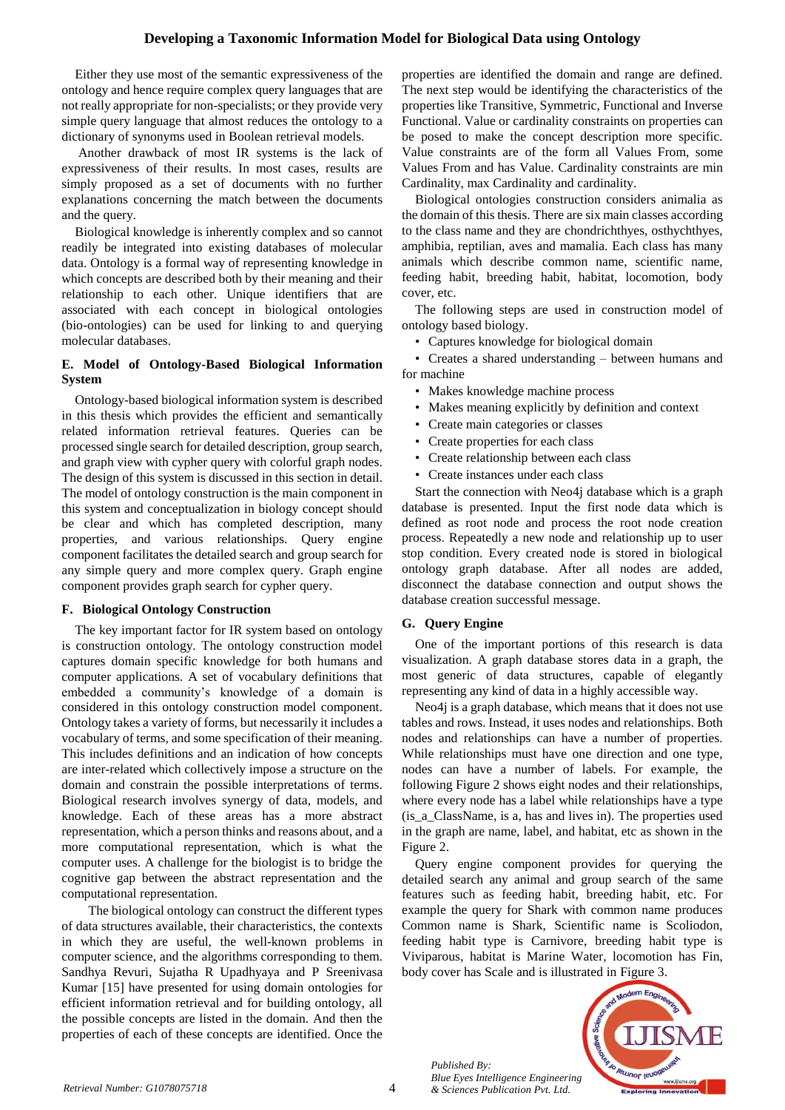Either they use most of the semantic expressiveness of the ontology and hence require complex query languages that are not really appropriate for non-specialists; or they provide very simple query language that almost reduces the ontology to a dictionary of synonyms used in Boolean retrieval models.

Another drawback of most IR systems is the lack of expressiveness of their results. In most cases, results are simply proposed as a set of documents with no further explanations concerning the match between the documents and the query.

Biological knowledge is inherently complex and so cannot readily be integrated into existing databases of molecular data. Ontology is a formal way of representing knowledge in which concepts are described both by their meaning and their relationship to each other. Unique identifiers that are associated with each concept in biological ontologies (bio-ontologies) can be used for linking to and querying molecular databases.

## **E. Model of Ontology-Based Biological Information System**

Ontology-based biological information system is described in this thesis which provides the efficient and semantically related information retrieval features. Queries can be processed single search for detailed description, group search, and graph view with cypher query with colorful graph nodes. The design of this system is discussed in this section in detail. The model of ontology construction is the main component in this system and conceptualization in biology concept should be clear and which has completed description, many properties, and various relationships. Query engine component facilitates the detailed search and group search for any simple query and more complex query. Graph engine component provides graph search for cypher query.

## **F. Biological Ontology Construction**

The key important factor for IR system based on ontology is construction ontology. The ontology construction model captures domain specific knowledge for both humans and computer applications. A set of vocabulary definitions that embedded a community's knowledge of a domain is considered in this ontology construction model component. Ontology takes a variety of forms, but necessarily it includes a vocabulary of terms, and some specification of their meaning. This includes definitions and an indication of how concepts are inter-related which collectively impose a structure on the domain and constrain the possible interpretations of terms. Biological research involves synergy of data, models, and knowledge. Each of these areas has a more abstract representation, which a person thinks and reasons about, and a more computational representation, which is what the computer uses. A challenge for the biologist is to bridge the cognitive gap between the abstract representation and the computational representation.

The biological ontology can construct the different types of data structures available, their characteristics, the contexts in which they are useful, the well-known problems in computer science, and the algorithms corresponding to them. Sandhya Revuri, Sujatha R Upadhyaya and P Sreenivasa Kumar [15] have presented for using domain ontologies for efficient information retrieval and for building ontology, all the possible concepts are listed in the domain. And then the properties of each of these concepts are identified. Once the

properties are identified the domain and range are defined. The next step would be identifying the characteristics of the properties like Transitive, Symmetric, Functional and Inverse Functional. Value or cardinality constraints on properties can be posed to make the concept description more specific. Value constraints are of the form all Values From, some Values From and has Value. Cardinality constraints are min Cardinality, max Cardinality and cardinality.

Biological ontologies construction considers animalia as the domain of this thesis. There are six main classes according to the class name and they are chondrichthyes, osthychthyes, amphibia, reptilian, aves and mamalia. Each class has many animals which describe common name, scientific name, feeding habit, breeding habit, habitat, locomotion, body cover, etc.

The following steps are used in construction model of ontology based biology.

• Captures knowledge for biological domain

• Creates a shared understanding – between humans and for machine

- Makes knowledge machine process
- Makes meaning explicitly by definition and context
- Create main categories or classes
- Create properties for each class
- Create relationship between each class
- Create instances under each class

Start the connection with Neo4j database which is a graph database is presented. Input the first node data which is defined as root node and process the root node creation process. Repeatedly a new node and relationship up to user stop condition. Every created node is stored in biological ontology graph database. After all nodes are added, disconnect the database connection and output shows the database creation successful message.

## **G. Query Engine**

One of the important portions of this research is data visualization. A graph database stores data in a graph, the most generic of data structures, capable of elegantly representing any kind of data in a highly accessible way.

Neo4j is a graph database, which means that it does not use tables and rows. Instead, it uses nodes and relationships. Both nodes and relationships can have a number of properties. While relationships must have one direction and one type, nodes can have a number of labels. For example, the following Figure 2 shows eight nodes and their relationships, where every node has a label while relationships have a type (is\_a\_ClassName, is a, has and lives in). The properties used in the graph are name, label, and habitat, etc as shown in the Figure 2.

Query engine component provides for querying the detailed search any animal and group search of the same features such as feeding habit, breeding habit, etc. For example the query for Shark with common name produces Common name is Shark, Scientific name is Scoliodon, feeding habit type is Carnivore, breeding habit type is Viviparous, habitat is Marine Water, locomotion has Fin, body cover has Scale and is illustrated in Figure 3.



*Published By: Blue Eyes Intelligence Engineering Retrieval Number: G1078075718 & Sciences Publication Pvt. Ltd.*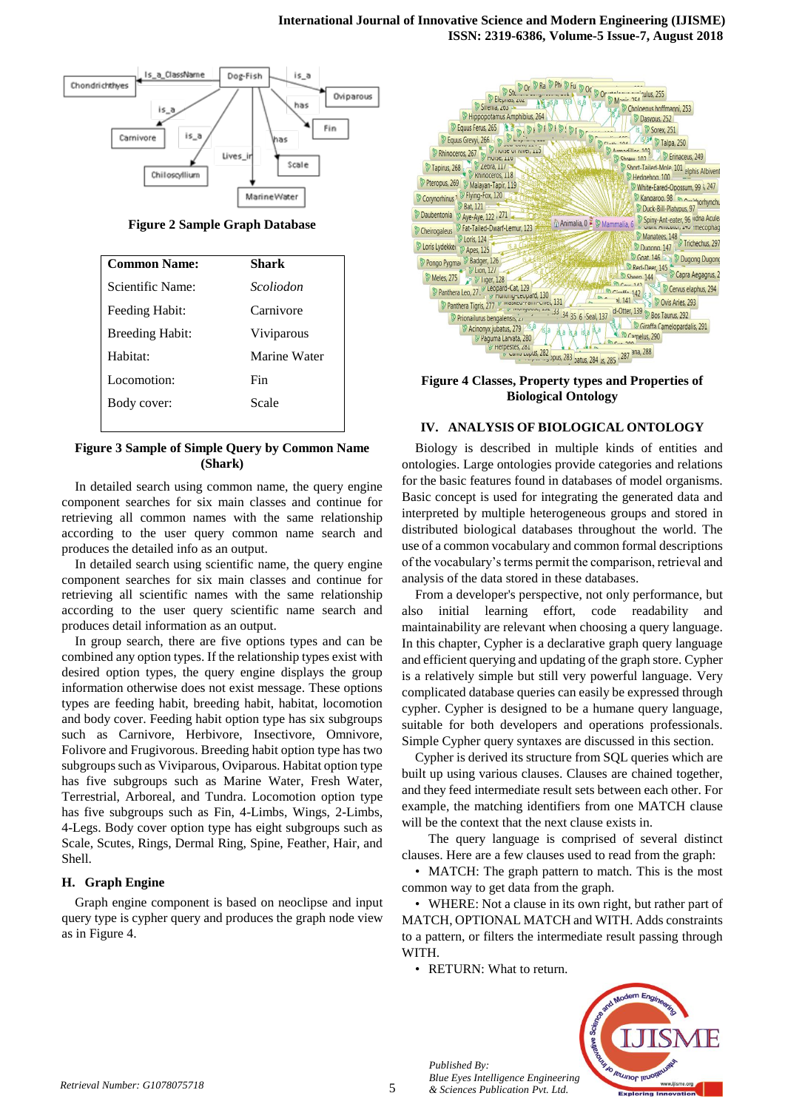

**Figure 2 Sample Graph Database**

| <b>Common Name:</b>    | Shark        |
|------------------------|--------------|
| Scientific Name:       | Scoliodon    |
| Feeding Habit:         | Carnivore    |
| <b>Breeding Habit:</b> | Viviparous   |
| Habitat <sup>.</sup>   | Marine Water |
| Locomotion:            | Fin          |
| Body cover:            | Scale        |
|                        |              |

**Figure 3 Sample of Simple Query by Common Name (Shark)**

In detailed search using common name, the query engine component searches for six main classes and continue for retrieving all common names with the same relationship according to the user query common name search and produces the detailed info as an output.

In detailed search using scientific name, the query engine component searches for six main classes and continue for retrieving all scientific names with the same relationship according to the user query scientific name search and produces detail information as an output.

In group search, there are five options types and can be combined any option types. If the relationship types exist with desired option types, the query engine displays the group information otherwise does not exist message. These options types are feeding habit, breeding habit, habitat, locomotion and body cover. Feeding habit option type has six subgroups such as Carnivore, Herbivore, Insectivore, Omnivore, Folivore and Frugivorous. Breeding habit option type has two subgroups such as Viviparous, Oviparous. Habitat option type has five subgroups such as Marine Water, Fresh Water, Terrestrial, Arboreal, and Tundra. Locomotion option type has five subgroups such as Fin, 4-Limbs, Wings, 2-Limbs, 4-Legs. Body cover option type has eight subgroups such as Scale, Scutes, Rings, Dermal Ring, Spine, Feather, Hair, and Shell.

### **H. Graph Engine**

Graph engine component is based on neoclipse and input query type is cypher query and produces the graph node view as in Figure 4.



**Figure 4 Classes, Property types and Properties of Biological Ontology**

## **IV. ANALYSIS OF BIOLOGICAL ONTOLOGY**

Biology is described in multiple kinds of entities and ontologies. Large ontologies provide categories and relations for the basic features found in databases of model organisms. Basic concept is used for integrating the generated data and interpreted by multiple heterogeneous groups and stored in distributed biological databases throughout the world. The use of a common vocabulary and common formal descriptions of the vocabulary's terms permit the comparison, retrieval and analysis of the data stored in these databases.

From a developer's perspective, not only performance, but also initial learning effort, code readability and maintainability are relevant when choosing a query language. In this chapter, Cypher is a declarative graph query language and efficient querying and updating of the graph store. Cypher is a relatively simple but still very powerful language. Very complicated database queries can easily be expressed through cypher. Cypher is designed to be a humane query language, suitable for both developers and operations professionals. Simple Cypher query syntaxes are discussed in this section.

Cypher is derived its structure from SQL queries which are built up using various clauses. Clauses are chained together, and they feed intermediate result sets between each other. For example, the matching identifiers from one MATCH clause will be the context that the next clause exists in.

The query language is comprised of several distinct clauses. Here are a few clauses used to read from the graph:

• MATCH: The graph pattern to match. This is the most common way to get data from the graph.

• WHERE: Not a clause in its own right, but rather part of MATCH, OPTIONAL MATCH and WITH. Adds constraints to a pattern, or filters the intermediate result passing through WITH.

• RETURN: What to return.



*Published By: Blue Eyes Intelligence Engineering & Sciences Publication Pvt. Ltd. Retrieval Number: G1078075718*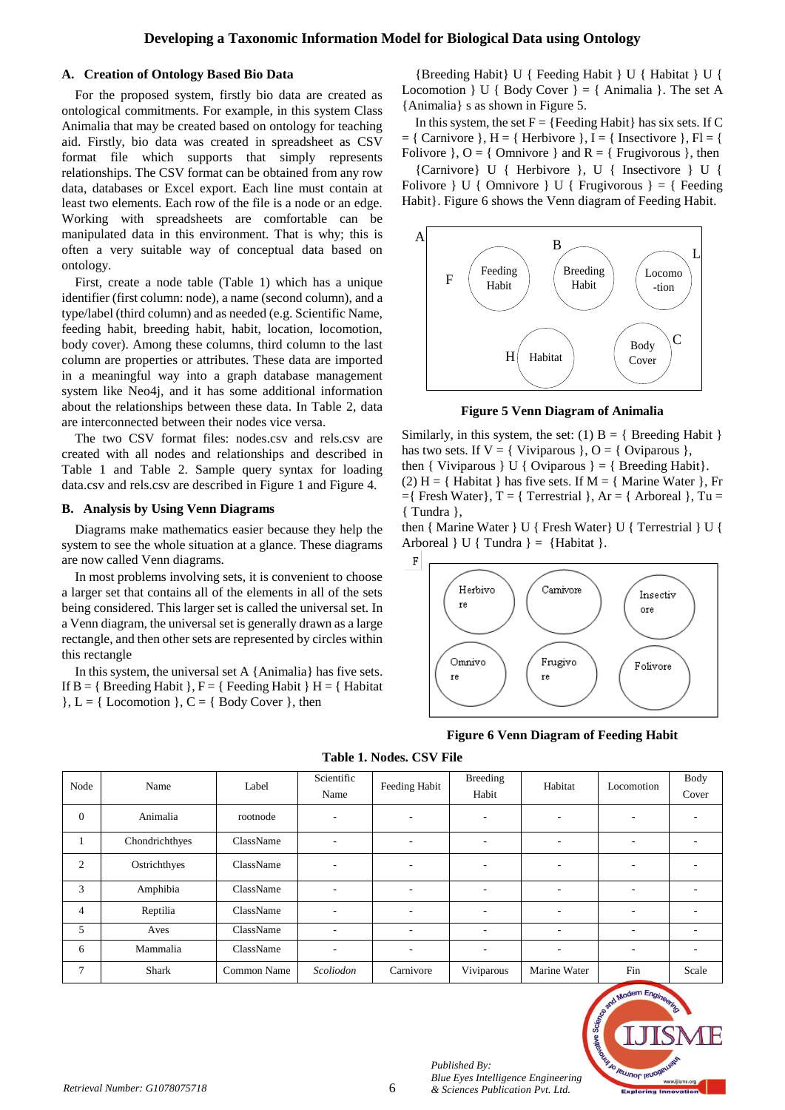## **Developing a Taxonomic Information Model for Biological Data using Ontology**

#### **A. Creation of Ontology Based Bio Data**

For the proposed system, firstly bio data are created as ontological commitments. For example, in this system Class Animalia that may be created based on ontology for teaching aid. Firstly, bio data was created in spreadsheet as CSV format file which supports that simply represents relationships. The CSV format can be obtained from any row data, databases or Excel export. Each line must contain at least two elements. Each row of the file is a node or an edge. Working with spreadsheets are comfortable can be manipulated data in this environment. That is why; this is often a very suitable way of conceptual data based on ontology.

First, create a node table (Table 1) which has a unique identifier (first column: node), a name (second column), and a type/label (third column) and as needed (e.g. Scientific Name, feeding habit, breeding habit, habit, location, locomotion, body cover). Among these columns, third column to the last column are properties or attributes. These data are imported in a meaningful way into a graph database management system like Neo4j, and it has some additional information about the relationships between these data. In Table 2, data are interconnected between their nodes vice versa.

The two CSV format files: nodes.csv and rels.csv are created with all nodes and relationships and described in Table 1 and Table 2. Sample query syntax for loading data.csv and rels.csv are described in Figure 1 and Figure 4.

#### **B. Analysis by Using Venn Diagrams**

Diagrams make mathematics easier because they help the system to see the whole situation at a glance. These diagrams are now called Venn diagrams.

In most problems involving sets, it is convenient to choose a larger set that contains all of the elements in all of the sets being considered. This larger set is called the universal set. In a Venn diagram, the universal set is generally drawn as a large rectangle, and then other sets are represented by circles within this rectangle

In this system, the universal set A {Animalia} has five sets. If  $B = \{$  Breeding Habit  $\}$ ,  $F = \{$  Feeding Habit  $\}$  H =  $\{$  Habitat  $\}$ , L = { Locomotion }, C = { Body Cover }, then

{Breeding Habit} U { Feeding Habit } U { Habitat } U { Locomotion  $\}$  U { Body Cover } = { Animalia }. The set A {Animalia} s as shown in Figure 5.

In this system, the set  $F = {Feeding Habit}$  has six sets. If C  $= \{$  Carnivore  $\}, H = \{$  Herbivore  $\}, I = \{$  Insectivore  $\}, Fl = \{$ Folivore  $\}$ , O = { Omnivore } and R = { Frugivorous }, then

{Carnivore} U { Herbivore }, U { Insectivore } U { Folivore } U { Omnivore } U { Frugivorous } = { Feeding Habit}. Figure 6 shows the Venn diagram of Feeding Habit.



**Figure 5 Venn Diagram of Animalia**

Similarly, in this system, the set: (1)  $B = \{$  Breeding Habit  $\}$ has two sets. If  $V = \{$  Viviparous  $\},$  O =  $\{$  Oviparous  $\},$ then { Viviparous } U { Oviparous } = { Breeding Habit}. (2) H = { Habitat } has five sets. If M = { Marine Water }, Fr  $=$ { Fresh Water}, T = { Terrestrial }, Ar = { Arboreal }, Tu = { Tundra },

then { Marine Water } U { Fresh Water} U { Terrestrial } U { Arboreal  $\} U \{ Tundra \} = \{ Habitat \}.$ 



**Figure 6 Venn Diagram of Feeding Habit**

| Node           | Name           | Label       | Scientific<br>Name       | Feeding Habit | <b>Breeding</b><br>Habit | Habitat                  | Locomotion               | Body<br>Cover            |
|----------------|----------------|-------------|--------------------------|---------------|--------------------------|--------------------------|--------------------------|--------------------------|
| $\mathbf{0}$   | Animalia       | rootnode    | $\overline{\phantom{a}}$ | ۰.            | $\overline{\phantom{a}}$ | $\overline{\phantom{a}}$ | $\overline{\phantom{a}}$ | -                        |
| -1             | Chondrichthyes | ClassName   | $\overline{\phantom{a}}$ | ٠             | $\overline{\phantom{a}}$ | $\overline{\phantom{a}}$ | ۰.                       | ۰.                       |
| $\overline{2}$ | Ostrichthyes   | ClassName   | $\overline{\phantom{a}}$ | ٠             | $\overline{\phantom{a}}$ | $\overline{\phantom{a}}$ | ۰.                       | ۰                        |
| 3              | Amphibia       | ClassName   | $\overline{\phantom{a}}$ | ٠             | $\overline{\phantom{a}}$ | $\overline{\phantom{a}}$ | ۰.                       | $\overline{\phantom{a}}$ |
| $\overline{4}$ | Reptilia       | ClassName   | ٠                        | ٠             | ٠                        | $\overline{\phantom{a}}$ | $\overline{\phantom{a}}$ | $\overline{\phantom{a}}$ |
| 5              | Aves           | ClassName   | $\overline{\phantom{a}}$ | ۰             |                          | $\overline{\phantom{a}}$ | ۰.                       | ۰.                       |
| 6              | Mammalia       | ClassName   | $\overline{\phantom{a}}$ | ٠             | $\overline{\phantom{a}}$ | $\overline{\phantom{a}}$ | ٠                        | ۰                        |
| $\tau$         | Shark          | Common Name | Scoliodon                | Carnivore     | Viviparous               | Marine Water             | Fin                      | Scale                    |

**Table 1. Nodes. CSV File**



*Published By:*

*Blue Eyes Intelligence Engineering*